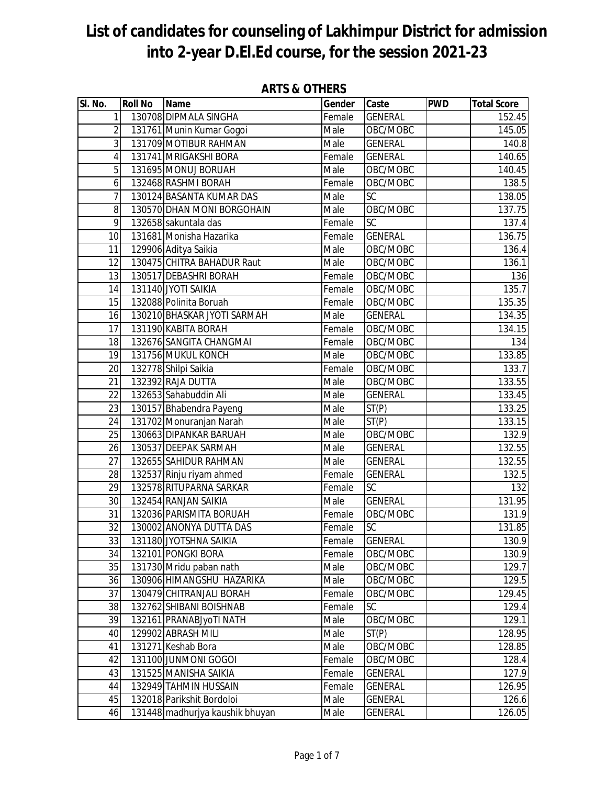| <b>SI. No.</b>  | <b>Roll No</b> | <b>Name</b>                     | Gender | Caste          | <b>PWD</b> | <b>Total Score</b> |
|-----------------|----------------|---------------------------------|--------|----------------|------------|--------------------|
| $\mathbf{1}$    |                | 130708 DIPMALA SINGHA           | Female | <b>GENERAL</b> |            | 152.45             |
| $\overline{2}$  |                | 131761 Munin Kumar Gogoi        | Male   | OBC/MOBC       |            | 145.05             |
| 3               |                | 131709 MOTIBUR RAHMAN           | Male   | <b>GENERAL</b> |            | 140.8              |
| 4               |                | 131741 MRIGAKSHI BORA           | Female | <b>GENERAL</b> |            | 140.65             |
| 5               |                | 131695 MONUJ BORUAH             | Male   | OBC/MOBC       |            | 140.45             |
| 6               |                | 132468 RASHMI BORAH             | Female | OBC/MOBC       |            | 138.5              |
| 7               |                | 130124 BASANTA KUMAR DAS        | Male   | SC             |            | 138.05             |
| 8               |                | 130570 DHAN MONI BORGOHAIN      | Male   | OBC/MOBC       |            | 137.75             |
| 9               |                | 132658 sakuntala das            | Female | SC             |            | 137.4              |
| 10              |                | 131681 Monisha Hazarika         | Female | <b>GENERAL</b> |            | 136.75             |
| 11              |                | 129906 Aditya Saikia            | Male   | OBC/MOBC       |            | 136.4              |
| 12              |                | 130475 CHITRA BAHADUR Raut      | Male   | OBC/MOBC       |            | 136.1              |
| 13              |                | 130517 DEBASHRI BORAH           | Female | OBC/MOBC       |            | 136                |
| 14              |                | 131140 JYOTI SAIKIA             | Female | OBC/MOBC       |            | 135.7              |
| 15              |                | 132088 Polinita Boruah          | Female | OBC/MOBC       |            | 135.35             |
| 16              |                | 130210 BHASKAR JYOTI SARMAH     | Male   | <b>GENERAL</b> |            | 134.35             |
| 17              |                | 131190 KABITA BORAH             | Female | OBC/MOBC       |            | 134.15             |
| 18              |                | 132676 SANGITA CHANGMAI         | Female | OBC/MOBC       |            | 134                |
| 19              |                | 131756 MUKUL KONCH              | Male   | OBC/MOBC       |            | 133.85             |
| 20              |                | 132778 Shilpi Saikia            | Female | OBC/MOBC       |            | 133.7              |
| 21              |                | 132392 RAJA DUTTA               | Male   | OBC/MOBC       |            | 133.55             |
| 22              |                | 132653 Sahabuddin Ali           | Male   | <b>GENERAL</b> |            | 133.45             |
| 23              |                | 130157 Bhabendra Payeng         | Male   | ST(P)          |            | 133.25             |
| 24              |                | 131702 Monuranjan Narah         | Male   | ST(P)          |            | 133.15             |
| 25              |                | 130663 DIPANKAR BARUAH          | Male   | OBC/MOBC       |            | 132.9              |
| 26              |                | 130537 DEEPAK SARMAH            | Male   | <b>GENERAL</b> |            | 132.55             |
| $\overline{27}$ |                | 132655 SAHIDUR RAHMAN           | Male   | <b>GENERAL</b> |            | 132.55             |
| 28              |                | 132537 Rinju riyam ahmed        | Female | <b>GENERAL</b> |            | 132.5              |
| 29              |                | 132578 RITUPARNA SARKAR         | Female | SC             |            | 132                |
| 30              |                | 132454 RANJAN SAIKIA            | Male   | <b>GENERAL</b> |            | 131.95             |
| 31              |                | 132036 PARISMITA BORUAH         | Female | OBC/MOBC       |            | 131.9              |
| 32              |                | 130002 ANONYA DUTTA DAS         | Female | SC             |            | 131.85             |
| 33              |                | 131180 JYOTSHNA SAIKIA          | Female | <b>GENERAL</b> |            | 130.9              |
| 34              |                | 132101 PONGKI BORA              | Female | OBC/MOBC       |            | 130.9              |
| 35              |                | 131730 Mridu paban nath         | Male   | OBC/MOBC       |            | 129.7              |
| 36              |                | 130906 HIMANGSHU HAZARIKA       | Male   | OBC/MOBC       |            | 129.5              |
| 37              |                | 130479 CHITRANJALI BORAH        | Female | OBC/MOBC       |            | 129.45             |
| 38              |                | 132762 SHIBANI BOISHNAB         | Female | SC             |            | 129.4              |
| 39              |                | 132161 PRANABJyoTI NATH         | Male   | OBC/MOBC       |            | 129.1              |
| 40              |                | 129902 ABRASH MILI              | Male   | ST(P)          |            | 128.95             |
| 41              |                | 131271 Keshab Bora              | Male   | OBC/MOBC       |            | 128.85             |
| 42              |                | 131100 JUNMONI GOGOI            | Female | OBC/MOBC       |            | 128.4              |
| 43              |                | 131525 MANISHA SAIKIA           | Female | <b>GENERAL</b> |            | 127.9              |
| 44              |                | 132949 TAHMIN HUSSAIN           | Female | <b>GENERAL</b> |            | 126.95             |
| 45              |                | 132018 Parikshit Bordoloi       | Male   | <b>GENERAL</b> |            | 126.6              |
| 46              |                | 131448 madhurjya kaushik bhuyan | Male   | <b>GENERAL</b> |            | 126.05             |

#### **ARTS & OTHERS**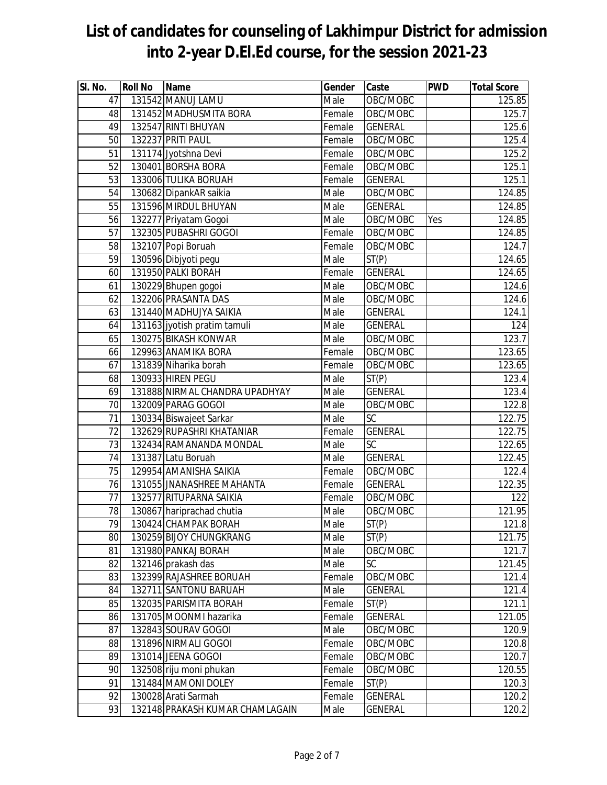| SI. No.         | <b>Roll No</b> | Name                            | Gender | Caste          | <b>PWD</b> | <b>Total Score</b> |
|-----------------|----------------|---------------------------------|--------|----------------|------------|--------------------|
| 47              |                | 131542 MANUJ LAMU               | Male   | OBC/MOBC       |            | 125.85             |
| 48              |                | 131452 MADHUSMITA BORA          | Female | OBC/MOBC       |            | 125.7              |
| 49              |                | 132547 RINTI BHUYAN             | Female | <b>GENERAL</b> |            | 125.6              |
| 50              |                | 132237 PRITI PAUL               | Female | OBC/MOBC       |            | 125.4              |
| 51              |                | 131174 Jyotshna Devi            | Female | OBC/MOBC       |            | 125.2              |
| 52              |                | 130401 BORSHA BORA              | Female | OBC/MOBC       |            | 125.1              |
| 53              |                | 133006 TULIKA BORUAH            | Female | <b>GENERAL</b> |            | 125.1              |
| $\overline{54}$ |                | 130682 DipankAR saikia          | Male   | OBC/MOBC       |            | 124.85             |
| 55              |                | 131596 MIRDUL BHUYAN            | Male   | <b>GENERAL</b> |            | 124.85             |
| 56              |                | 132277 Priyatam Gogoi           | Male   | OBC/MOBC       | Yes        | 124.85             |
| 57              |                | 132305 PUBASHRI GOGOI           | Female | OBC/MOBC       |            | 124.85             |
| 58              |                | 132107 Popi Boruah              | Female | OBC/MOBC       |            | 124.7              |
| 59              |                | 130596 Dibjyoti pegu            | Male   | ST(P)          |            | 124.65             |
| 60              |                | 131950 PALKI BORAH              | Female | <b>GENERAL</b> |            | 124.65             |
| 61              |                | 130229 Bhupen gogoi             | Male   | OBC/MOBC       |            | 124.6              |
| 62              |                | 132206 PRASANTA DAS             | Male   | OBC/MOBC       |            | 124.6              |
| 63              |                | 131440 MADHUJYA SAIKIA          | Male   | <b>GENERAL</b> |            | 124.1              |
| 64              |                | 131163 jyotish pratim tamuli    | Male   | <b>GENERAL</b> |            | 124                |
| 65              |                | 130275 BIKASH KONWAR            | Male   | OBC/MOBC       |            | 123.7              |
| 66              |                | 129963 ANAMIKA BORA             | Female | OBC/MOBC       |            | 123.65             |
| 67              |                | 131839 Niharika borah           | Female | OBC/MOBC       |            | 123.65             |
| 68              |                | 130933 HIREN PEGU               | Male   | ST(P)          |            | 123.4              |
| 69              |                | 131888 NIRMAL CHANDRA UPADHYAY  | Male   | <b>GENERAL</b> |            | 123.4              |
| 70              |                | 132009 PARAG GOGOI              | Male   | OBC/MOBC       |            | 122.8              |
| 71              |                | 130334 Biswajeet Sarkar         | Male   | SC             |            | 122.75             |
| 72              |                | 132629 RUPASHRI KHATANIAR       | Female | <b>GENERAL</b> |            | 122.75             |
| 73              |                | 132434 RAMANANDA MONDAL         | Male   | SC             |            | 122.65             |
| 74              |                | 131387 Latu Boruah              | Male   | <b>GENERAL</b> |            | 122.45             |
| 75              |                | 129954 AMANISHA SAIKIA          | Female | OBC/MOBC       |            | 122.4              |
| 76              |                | 131055 JNANASHREE MAHANTA       | Female | <b>GENERAL</b> |            | 122.35             |
| 77              |                | 132577 RITUPARNA SAIKIA         | Female | OBC/MOBC       |            | 122                |
| 78              |                | 130867 hariprachad chutia       | Male   | OBC/MOBC       |            | 121.95             |
| 79              |                | 130424 CHAMPAK BORAH            | Male   | ST(P)          |            | 121.8              |
| 80              |                | 130259 BIJOY CHUNGKRANG         | Male   | ST(P)          |            | 121.75             |
| 81              |                | 131980 PANKAJ BORAH             | Male   | OBC/MOBC       |            | 121.7              |
| 82              |                | 132146 prakash das              | Male   | SC             |            | 121.45             |
| 83              |                | 132399 RAJASHREE BORUAH         | Female | OBC/MOBC       |            | 121.4              |
| 84              |                | 132711 SANTONU BARUAH           | Male   | <b>GENERAL</b> |            | 121.4              |
| 85              |                | 132035 PARISMITA BORAH          | Female | ST(P)          |            | 121.1              |
| 86              |                | 131705 MOONMI hazarika          | Female | <b>GENERAL</b> |            | 121.05             |
| 87              |                | 132843 SOURAV GOGOI             | Male   | OBC/MOBC       |            | 120.9              |
| 88              |                | 131896 NIRMALI GOGOI            | Female | OBC/MOBC       |            | 120.8              |
| 89              |                | 131014 JEENA GOGOI              | Female | OBC/MOBC       |            | 120.7              |
| 90              |                | 132508 riju moni phukan         | Female | OBC/MOBC       |            | 120.55             |
| 91              |                | 131484 MAMONI DOLEY             | Female | ST(P)          |            | 120.3              |
| 92              |                | 130028 Arati Sarmah             | Female | <b>GENERAL</b> |            | 120.2              |
| 93              |                | 132148 PRAKASH KUMAR CHAMLAGAIN | Male   | <b>GENERAL</b> |            | 120.2              |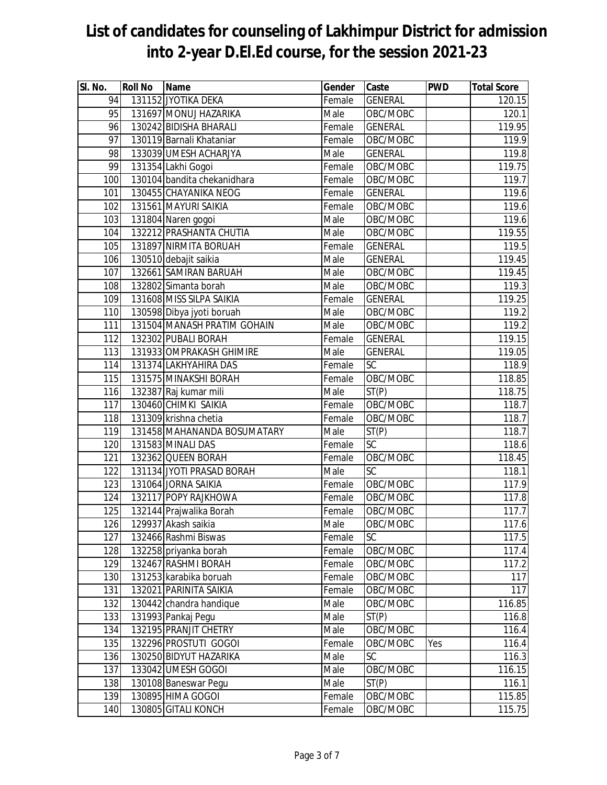| SI. No. | <b>Roll No</b> | Name                        | Gender | Caste          | <b>PWD</b> | <b>Total Score</b> |
|---------|----------------|-----------------------------|--------|----------------|------------|--------------------|
| 94      |                | 131152 JYOTIKA DEKA         | Female | <b>GENERAL</b> |            | 120.15             |
| 95      |                | 131697 MONUJ HAZARIKA       | Male   | OBC/MOBC       |            | 120.1              |
| 96      |                | 130242 BIDISHA BHARALI      | Female | <b>GENERAL</b> |            | 119.95             |
| 97      |                | 130119 Barnali Khataniar    | Female | OBC/MOBC       |            | 119.9              |
| 98      |                | 133039 UMESH ACHARJYA       | Male   | <b>GENERAL</b> |            | 119.8              |
| 99      |                | 131354 Lakhi Gogoi          | Female | OBC/MOBC       |            | 119.75             |
| 100     |                | 130104 bandita chekanidhara | Female | OBC/MOBC       |            | 119.7              |
| 101     |                | 130455 CHAYANIKA NEOG       | Female | <b>GENERAL</b> |            | 119.6              |
| 102     |                | 131561 MAYURI SAIKIA        | Female | OBC/MOBC       |            | 119.6              |
| 103     |                | 131804 Naren gogoi          | Male   | OBC/MOBC       |            | 119.6              |
| 104     |                | 132212 PRASHANTA CHUTIA     | Male   | OBC/MOBC       |            | 119.55             |
| 105     |                | 131897 NIRMITA BORUAH       | Female | <b>GENERAL</b> |            | 119.5              |
| 106     |                | 130510 debajit saikia       | Male   | <b>GENERAL</b> |            | 119.45             |
| 107     |                | 132661 SAMIRAN BARUAH       | Male   | OBC/MOBC       |            | 119.45             |
| 108     |                | 132802 Simanta borah        | Male   | OBC/MOBC       |            | 119.3              |
| 109     |                | 131608 MISS SILPA SAIKIA    | Female | <b>GENERAL</b> |            | 119.25             |
| 110     |                | 130598 Dibya jyoti boruah   | Male   | OBC/MOBC       |            | 119.2              |
| 111     |                | 131504 MANASH PRATIM GOHAIN | Male   | OBC/MOBC       |            | 119.2              |
| 112     |                | 132302 PUBALI BORAH         | Female | <b>GENERAL</b> |            | 119.15             |
| 113     |                | 131933 OMPRAKASH GHIMIRE    | Male   | <b>GENERAL</b> |            | 119.05             |
| 114     |                | 131374 LAKHYAHIRA DAS       | Female | <b>SC</b>      |            | 118.9              |
| 115     |                | 131575 MINAKSHI BORAH       | Female | OBC/MOBC       |            | 118.85             |
| 116     |                | 132387 Raj kumar mili       | Male   | ST(P)          |            | 118.75             |
| 117     |                | 130460 CHIMKI SAIKIA        | Female | OBC/MOBC       |            | 118.7              |
| 118     |                | 131309 krishna chetia       | Female | OBC/MOBC       |            | 118.7              |
| 119     |                | 131458 MAHANANDA BOSUMATARY | Male   | ST(P)          |            | 118.7              |
| 120     |                | 131583 MINALI DAS           | Female | <b>SC</b>      |            | 118.6              |
| 121     |                | 132362 QUEEN BORAH          | Female | OBC/MOBC       |            | 118.45             |
| 122     |                | 131134 JYOTI PRASAD BORAH   | Male   | SC             |            | 118.1              |
| 123     |                | 131064 JORNA SAIKIA         | Female | OBC/MOBC       |            | 117.9              |
| 124     |                | 132117 POPY RAJKHOWA        | Female | OBC/MOBC       |            | 117.8              |
| 125     |                | 132144 Prajwalika Borah     | Female | OBC/MOBC       |            | 117.7              |
| 126     |                | 129937 Akash saikia         | Male   | OBC/MOBC       |            | 117.6              |
| 127     |                | 132466 Rashmi Biswas        | Female | SC             |            | 117.5              |
| 128     |                | 132258 priyanka borah       | Female | OBC/MOBC       |            | 117.4              |
| 129     |                | 132467 RASHMI BORAH         | Female | OBC/MOBC       |            | 117.2              |
| 130     |                | 131253 karabika boruah      | Female | OBC/MOBC       |            | 117                |
| 131     |                | 132021 PARINITA SAIKIA      | Female | OBC/MOBC       |            | 117                |
| 132     |                | 130442 chandra handique     | Male   | OBC/MOBC       |            | 116.85             |
| 133     |                | 131993 Pankaj Pegu          | Male   | ST(P)          |            | 116.8              |
| 134     |                | 132195 PRANJIT CHETRY       | Male   | OBC/MOBC       |            | 116.4              |
| 135     |                | 132296 PROSTUTI GOGOI       | Female | OBC/MOBC       | Yes        | 116.4              |
| 136     |                | 130250 BIDYUT HAZARIKA      | Male   | SC             |            | 116.3              |
| 137     |                | 133042 UMESH GOGOI          | Male   | OBC/MOBC       |            | 116.15             |
| 138     |                | 130108 Baneswar Pegu        | Male   | ST(P)          |            | 116.1              |
| 139     |                | 130895 HIMA GOGOI           | Female | OBC/MOBC       |            | 115.85             |
| 140     |                | 130805 GITALI KONCH         | Female | OBC/MOBC       |            | 115.75             |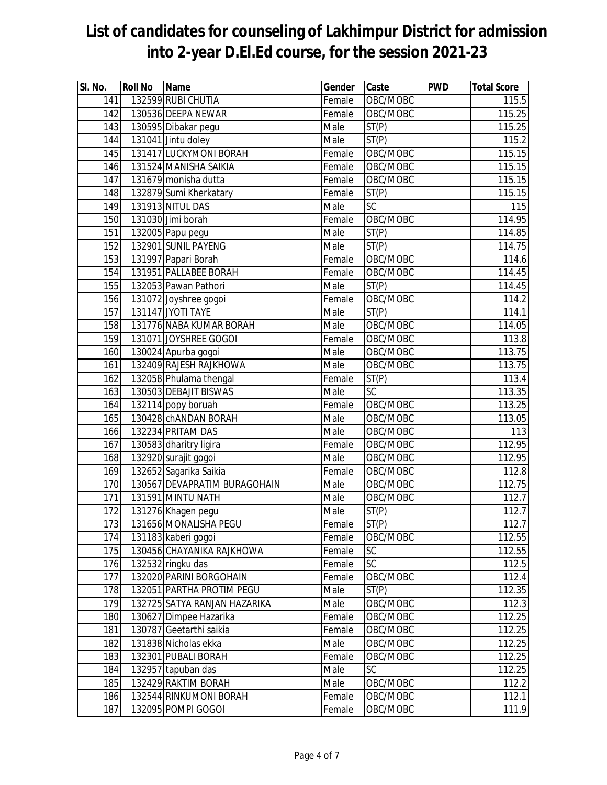| SI. No. | <b>Roll No</b> | Name                         | Gender                     | Caste              | <b>PWD</b> | <b>Total Score</b> |
|---------|----------------|------------------------------|----------------------------|--------------------|------------|--------------------|
| 141     |                | 132599 RUBI CHUTIA           | Female                     | OBC/MOBC           |            | 115.5              |
| 142     |                | 130536 DEEPA NEWAR           | Female                     | OBC/MOBC           |            | 115.25             |
| 143     |                | 130595 Dibakar pegu          | Male                       | $\overline{ST(P)}$ |            | 115.25             |
| 144     |                | 131041 Jintu doley           | Male                       | ST(P)              |            | 115.2              |
| 145     |                | 131417 LUCKYMONI BORAH       | Female                     | OBC/MOBC           |            | 115.15             |
| 146     |                | 131524 MANISHA SAIKIA        | Female                     | OBC/MOBC           |            | 115.15             |
| 147     |                | 131679 monisha dutta         | Female                     | OBC/MOBC           |            | 115.15             |
| 148     |                | 132879 Sumi Kherkatary       | Female                     | ST(P)              |            | 115.15             |
| 149     |                | 131913 NITUL DAS             | Male                       | <b>SC</b>          |            | 115                |
| 150     |                | 131030 Jimi borah            | Female                     | OBC/MOBC           |            | 114.95             |
| 151     |                | 132005 Papu pegu             | Male                       | ST(P)              |            | 114.85             |
| 152     |                | 132901 SUNIL PAYENG          | Male                       | ST(P)              |            | 114.75             |
| 153     |                | 131997 Papari Borah          | Female                     | OBC/MOBC           |            | 114.6              |
| 154     |                | 131951 PALLABEE BORAH        | Female                     | OBC/MOBC           |            | 114.45             |
| 155     |                | 132053 Pawan Pathori         | Male                       | ST(P)              |            | 114.45             |
| 156     |                | 131072 Joyshree gogoi        | Female                     | OBC/MOBC           |            | 114.2              |
| 157     |                | 131147 JYOTI TAYE            | $\overline{\mathsf{Male}}$ | ST(P)              |            | 114.1              |
| 158     |                | 131776 NABA KUMAR BORAH      | Male                       | OBC/MOBC           |            | 114.05             |
| 159     |                | 131071 JOYSHREE GOGOI        | Female                     | OBC/MOBC           |            | 113.8              |
| 160     |                | 130024 Apurba gogoi          | Male                       | OBC/MOBC           |            | 113.75             |
| 161     |                | 132409 RAJESH RAJKHOWA       | Male                       | OBC/MOBC           |            | 113.75             |
| 162     |                | 132058 Phulama thengal       | Female                     | ST(P)              |            | 113.4              |
| 163     |                | 130503 DEBAJIT BISWAS        | Male                       | <b>SC</b>          |            | 113.35             |
| 164     |                | 132114 popy boruah           | Female                     | OBC/MOBC           |            | 113.25             |
| 165     |                | 130428 chANDAN BORAH         | Male                       | OBC/MOBC           |            | 113.05             |
| 166     |                | 132234 PRITAM DAS            | Male                       | OBC/MOBC           |            | 113                |
| 167     |                | 130583 dharitry ligira       | Female                     | OBC/MOBC           |            | 112.95             |
| 168     |                | 132920 surajit gogoi         | Male                       | OBC/MOBC           |            | 112.95             |
| 169     |                | 132652 Sagarika Saikia       | Female                     | OBC/MOBC           |            | 112.8              |
| 170     |                | 130567 DEVAPRATIM BURAGOHAIN | Male                       | OBC/MOBC           |            | 112.75             |
| 171     |                | 131591 MINTU NATH            | Male                       | OBC/MOBC           |            | 112.7              |
| 172     |                | 131276 Khagen pegu           | Male                       | ST(P)              |            | 112.7              |
| 173     |                | 131656 MONALISHA PEGU        | Female                     | ST(P)              |            | 112.7              |
| 174     |                | 131183 kaberi gogoi          | Female                     | OBC/MOBC           |            | 112.55             |
| 175     |                | 130456 CHAYANIKA RAJKHOWA    | Female                     | SC                 |            | 112.55             |
| 176     |                | 132532 ringku das            | Female                     | SC                 |            | 112.5              |
| 177     |                | 132020 PARINI BORGOHAIN      | Female                     | OBC/MOBC           |            | 112.4              |
| 178     |                | 132051 PARTHA PROTIM PEGU    | Male                       | ST(P)              |            | 112.35             |
| 179     |                | 132725 SATYA RANJAN HAZARIKA | Male                       | OBC/MOBC           |            | 112.3              |
| 180     |                | 130627 Dimpee Hazarika       | Female                     | OBC/MOBC           |            | 112.25             |
| 181     |                | 130787 Geetarthi saikia      | Female                     | OBC/MOBC           |            | 112.25             |
| 182     |                | 131838 Nicholas ekka         | Male                       | OBC/MOBC           |            | 112.25             |
| 183     |                | 132301 PUBALI BORAH          | Female                     | OBC/MOBC           |            | 112.25             |
| 184     |                | 132957 tapuban das           | Male                       | SC                 |            | 112.25             |
| 185     |                | 132429 RAKTIM BORAH          | Male                       | OBC/MOBC           |            | 112.2              |
| 186     |                | 132544 RINKUMONI BORAH       | Female                     | OBC/MOBC           |            | 112.1              |
| 187     |                | 132095 POMPI GOGOI           | Female                     | OBC/MOBC           |            | 111.9              |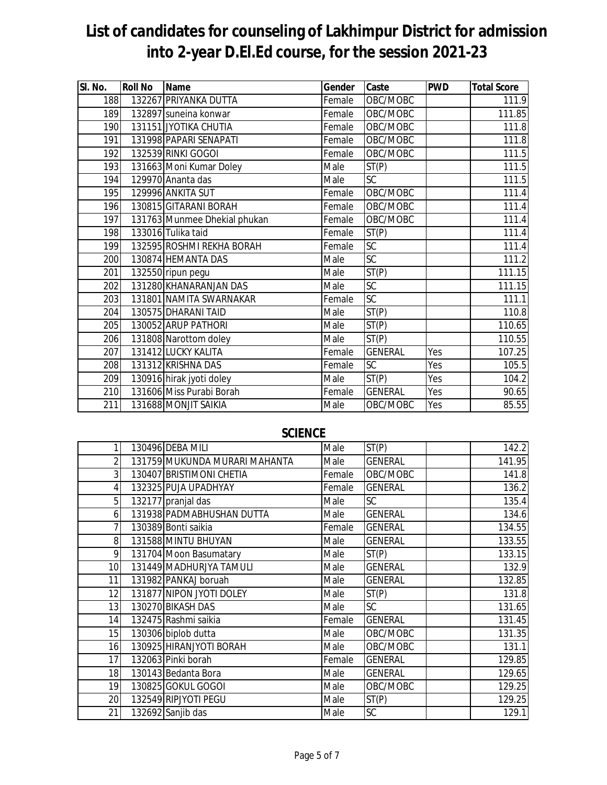| SI. No. | <b>Roll No</b> | Name                         | Gender | Caste           | <b>PWD</b> | <b>Total Score</b> |
|---------|----------------|------------------------------|--------|-----------------|------------|--------------------|
| 188     |                | 132267 PRIYANKA DUTTA        | Female | OBC/MOBC        |            | 111.9              |
| 189     |                | 132897 suneina konwar        | Female | OBC/MOBC        |            | 111.85             |
| 190     |                | 131151 JYOTIKA CHUTIA        | Female | OBC/MOBC        |            | 111.8              |
| 191     |                | 131998 PAPARI SENAPATI       | Female | OBC/MOBC        |            | 111.8              |
| 192     |                | 132539 RINKI GOGOI           | Female | OBC/MOBC        |            | 111.5              |
| 193     |                | 131663 Moni Kumar Doley      | Male   | ST(P)           |            | 111.5              |
| 194     |                | 129970 Ananta das            | Male   | <b>SC</b>       |            | 111.5              |
| 195     |                | 129996 ANKITA SUT            | Female | OBC/MOBC        |            | 111.4              |
| 196     |                | 130815 GITARANI BORAH        | Female | OBC/MOBC        |            | 111.4              |
| 197     |                | 131763 Munmee Dhekial phukan | Female | OBC/MOBC        |            | 111.4              |
| 198     |                | 133016 Tulika taid           | Female | ST(P)           |            | 111.4              |
| 199     |                | 132595 ROSHMI REKHA BORAH    | Female | <b>SC</b>       |            | 111.4              |
| 200     |                | 130874 HEMANTA DAS           | Male   | $\overline{SC}$ |            | 111.2              |
| 201     |                | 132550 ripun pegu            | Male   | ST(P)           |            | 111.15             |
| 202     |                | 131280 KHANARANJAN DAS       | Male   | SC              |            | 111.15             |
| 203     |                | 131801 NAMITA SWARNAKAR      | Female | $\overline{SC}$ |            | 111.1              |
| 204     |                | 130575 DHARANI TAID          | Male   | ST(P)           |            | 110.8              |
| 205     |                | 130052 ARUP PATHORI          | Male   | ST(P)           |            | 110.65             |
| 206     |                | 131808 Narottom doley        | Male   | ST(P)           |            | 110.55             |
| 207     |                | 131412 LUCKY KALITA          | Female | <b>GENERAL</b>  | Yes        | 107.25             |
| 208     |                | 131312 KRISHNA DAS           | Female | <b>SC</b>       | Yes        | 105.5              |
| 209     |                | 130916 hirak jyoti doley     | Male   | ST(P)           | Yes        | 104.2              |
| 210     |                | 131606 Miss Purabi Borah     | Female | <b>GENERAL</b>  | Yes        | 90.65              |
| 211     |                | 131688 MONJIT SAIKIA         | Male   | OBC/MOBC        | Yes        | 85.55              |

#### **SCIENCE**

|                 | 130496 DEBA MILI              | Male   | ST(P)          | 142.2  |
|-----------------|-------------------------------|--------|----------------|--------|
| 2               | 131759 MUKUNDA MURARI MAHANTA | Male   | <b>GENERAL</b> | 141.95 |
| 3               | 130407 BRISTIMONI CHETIA      | Female | OBC/MOBC       | 141.8  |
| 4               | 132325 PUJA UPADHYAY          | Female | <b>GENERAL</b> | 136.2  |
| 5               | 132177 pranjal das            | Male   | <b>SC</b>      | 135.4  |
| 6               | 131938 PADMABHUSHAN DUTTA     | Male   | <b>GENERAL</b> | 134.6  |
| 7               | 130389 Bonti saikia           | Female | <b>GENERAL</b> | 134.55 |
| 8               | 131588 MINTU BHUYAN           | Male   | <b>GENERAL</b> | 133.55 |
| 9               | 131704 Moon Basumatary        | Male   | ST(P)          | 133.15 |
| 10 <sup>1</sup> | 131449 MADHURJYA TAMULI       | Male   | <b>GENERAL</b> | 132.9  |
| 11              | 131982 PANKAJ boruah          | Male   | <b>GENERAL</b> | 132.85 |
| 12              | 131877 NIPON JYOTI DOLEY      | Male   | ST(P)          | 131.8  |
| 13              | 130270 BIKASH DAS             | Male   | <b>SC</b>      | 131.65 |
| 14              | 132475 Rashmi saikia          | Female | <b>GENERAL</b> | 131.45 |
| 15              | 130306 biplob dutta           | Male   | OBC/MOBC       | 131.35 |
| 16              | 130925 HIRANJYOTI BORAH       | Male   | OBC/MOBC       | 131.1  |
| 17              | 132063 Pinki borah            | Female | <b>GENERAL</b> | 129.85 |
| 18              | 130143 Bedanta Bora           | Male   | <b>GENERAL</b> | 129.65 |
| 19              | 130825 GOKUL GOGOI            | Male   | OBC/MOBC       | 129.25 |
| 20 <sup>1</sup> | 132549 RIPJYOTI PEGU          | Male   | ST(P)          | 129.25 |
| 21              | 132692 Sanjib das             | Male   | SC             | 129.1  |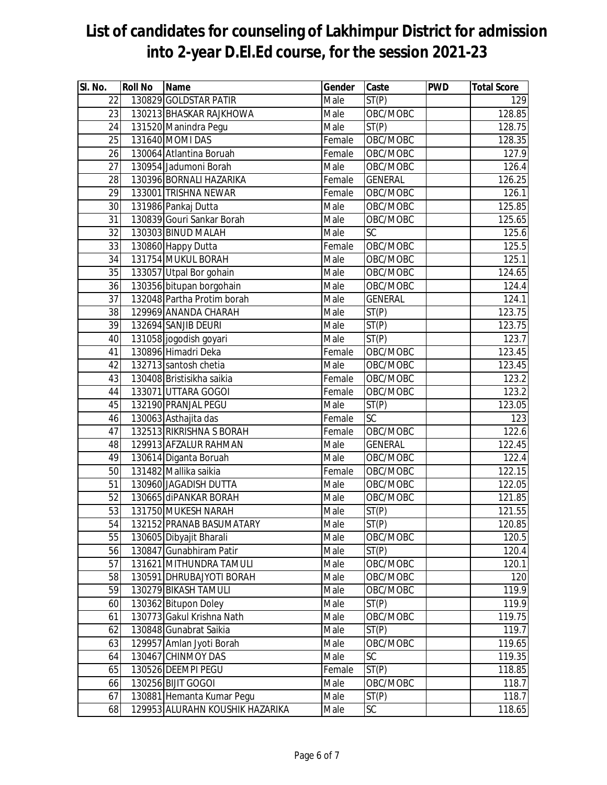| SI. No.         | <b>Roll No</b> | Name                            | Gender | Caste           | <b>PWD</b> | <b>Total Score</b> |
|-----------------|----------------|---------------------------------|--------|-----------------|------------|--------------------|
| 22              |                | 130829 GOLDSTAR PATIR           | Male   | ST(P)           |            | 129                |
| 23              |                | 130213 BHASKAR RAJKHOWA         | Male   | OBC/MOBC        |            | 128.85             |
| 24              |                | 131520 Manindra Pegu            | Male   | ST(P)           |            | 128.75             |
| 25              |                | 131640 MOMI DAS                 | Female | OBC/MOBC        |            | 128.35             |
| 26              |                | 130064 Atlantina Boruah         | Female | OBC/MOBC        |            | 127.9              |
| 27              |                | 130954 Jadumoni Borah           | Male   | OBC/MOBC        |            | 126.4              |
| 28              |                | 130396 BORNALI HAZARIKA         | Female | <b>GENERAL</b>  |            | 126.25             |
| 29              |                | 133001 TRISHNA NEWAR            | Female | OBC/MOBC        |            | 126.1              |
| 30              |                | 131986 Pankaj Dutta             | Male   | OBC/MOBC        |            | 125.85             |
| 31              |                | 130839 Gouri Sankar Borah       | Male   | OBC/MOBC        |            | 125.65             |
| 32              |                | 130303 BINUD MALAH              | Male   | SC              |            | 125.6              |
| 33              |                | 130860 Happy Dutta              | Female | OBC/MOBC        |            | 125.5              |
| $\overline{34}$ |                | 131754 MUKUL BORAH              | Male   | OBC/MOBC        |            | 125.1              |
| 35              |                | 133057 Utpal Bor gohain         | Male   | OBC/MOBC        |            | 124.65             |
| 36              |                | 130356 bitupan borgohain        | Male   | OBC/MOBC        |            | 124.4              |
| 37              |                | 132048 Partha Protim borah      | Male   | <b>GENERAL</b>  |            | 124.1              |
| 38              |                | 129969 ANANDA CHARAH            | Male   | ST(P)           |            | 123.75             |
| 39              |                | 132694 SANJIB DEURI             | Male   | ST(P)           |            | 123.75             |
| 40              |                | 131058 jogodish goyari          | Male   | ST(P)           |            | 123.7              |
| 41              |                | 130896 Himadri Deka             | Female | OBC/MOBC        |            | 123.45             |
| 42              |                | 132713 santosh chetia           | Male   | OBC/MOBC        |            | 123.45             |
| 43              |                | 130408 Bristisikha saikia       | Female | OBC/MOBC        |            | 123.2              |
| 44              |                | 133071 UTTARA GOGOI             | Female | OBC/MOBC        |            | 123.2              |
| 45              |                | 132190 PRANJAL PEGU             | Male   | ST(P)           |            | 123.05             |
| 46              |                | 130063 Asthajita das            | Female | $\overline{SC}$ |            | 123                |
| 47              |                | 132513 RIKRISHNA S BORAH        | Female | OBC/MOBC        |            | 122.6              |
| 48              |                | 129913 AFZALUR RAHMAN           | Male   | <b>GENERAL</b>  |            | 122.45             |
| 49              |                | 130614 Diganta Boruah           | Male   | OBC/MOBC        |            | 122.4              |
| 50              |                | 131482 Mallika saikia           | Female | OBC/MOBC        |            | 122.15             |
| 51              |                | 130960 JAGADISH DUTTA           | Male   | OBC/MOBC        |            | 122.05             |
| 52              |                | 130665 diPANKAR BORAH           | Male   | OBC/MOBC        |            | 121.85             |
| 53              |                | 131750 MUKESH NARAH             | Male   | ST(P)           |            | 121.55             |
| 54              |                | 132152 PRANAB BASUMATARY        | Male   | ST(P)           |            | 120.85             |
| 55              |                | 130605 Dibyajit Bharali         | Male   | OBC/MOBC        |            | 120.5              |
| 56              |                | 130847 Gunabhiram Patir         | Male   | ST(P)           |            | 120.4              |
| 57              |                | 131621 MITHUNDRA TAMULI         | Male   | OBC/MOBC        |            | 120.1              |
| 58              |                | 130591 DHRUBAJYOTI BORAH        | Male   | OBC/MOBC        |            | 120                |
| 59              |                | 130279 BIKASH TAMULI            | Male   | OBC/MOBC        |            | 119.9              |
| 60              |                | 130362 Bitupon Doley            | Male   | ST(P)           |            | 119.9              |
| 61              |                | 130773 Gakul Krishna Nath       | Male   | OBC/MOBC        |            | 119.75             |
| 62              |                | 130848 Gunabrat Saikia          | Male   | ST(P)           |            | 119.7              |
| 63              |                | 129957 Amlan Jyoti Borah        | Male   | OBC/MOBC        |            | 119.65             |
| 64              |                | 130467 CHINMOY DAS              | Male   | SC              |            | 119.35             |
| 65              |                | 130526 DEEMPI PEGU              | Female | ST(P)           |            | 118.85             |
| 66              |                | 130256 BIJIT GOGOI              | Male   | OBC/MOBC        |            | 118.7              |
| 67              |                | 130881 Hemanta Kumar Pegu       | Male   | ST(P)           |            | 118.7              |
| 68              |                | 129953 ALURAHN KOUSHIK HAZARIKA | Male   | $\mathsf{SC}$   |            | 118.65             |